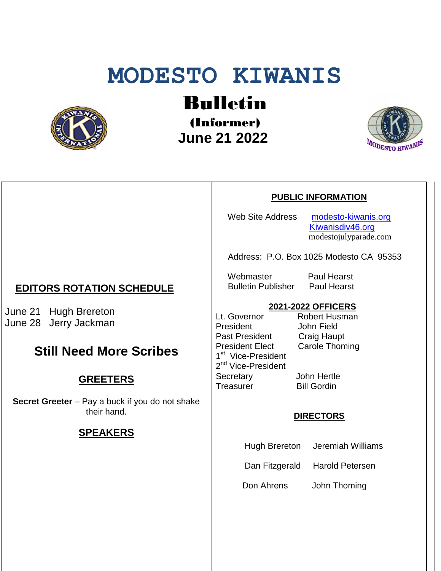# **MODESTO KIWANIS**



# Bulletin

(Informer)  **June 21 2022**



### **PUBLIC INFORMATION**

Web Site Address [modesto-kiwanis.org](http://modesto-kiwanis.org/)

 [Kiwanisdiv46.org](http://www.kiwanisdiv46.org/) modestojulyparade.com

Address: P.O. Box 1025 Modesto CA 95353

Webmaster Paul Hearst Bulletin Publisher Paul Hearst

# **2021-2022 OFFICERS**

Lt. Governor President John Field Past President Craig Haupt<br>President Elect Carole Thom 1<sup>st</sup> Vice-President 2<sup>nd</sup> Vice-President Secretary John Hertle Treasurer Bill Gordin

Carole Thoming

#### **DIRECTORS**

Hugh Brereton Jeremiah Williams

Dan Fitzgerald Harold Petersen

Don Ahrens John Thoming

## **EDITORS ROTATION SCHEDULE**

June 21 Hugh Brereton June 28 Jerry Jackman

# **Still Need More Scribes**

## **GREETERS**

**Secret Greeter** – Pay a buck if you do not shake their hand.

## **SPEAKERS**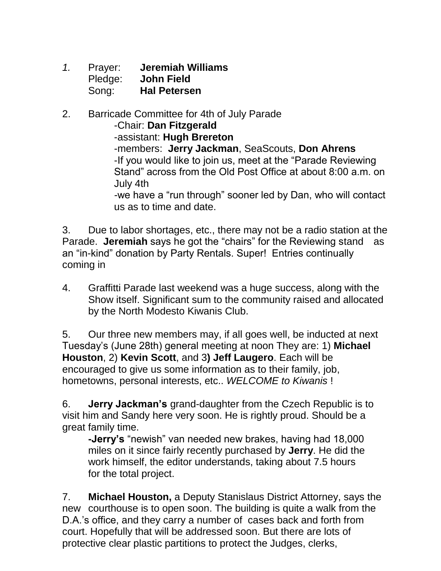- *1.* Prayer: **Jeremiah Williams** Pledge: **John Field** Song: **Hal Petersen**
- 2. Barricade Committee for 4th of July Parade

-Chair: **Dan Fitzgerald**

-assistant: **Hugh Brereton**

-members: **Jerry Jackman**, SeaScouts, **Don Ahrens** -If you would like to join us, meet at the "Parade Reviewing Stand" across from the Old Post Office at about 8:00 a.m. on July 4th

*-*we have a "run through" sooner led by Dan, who will contact us as to time and date.

3. Due to labor shortages, etc., there may not be a radio station at the Parade. **Jeremiah** says he got the "chairs" for the Reviewing stand as an "in-kind" donation by Party Rentals. Super! Entries continually coming in

4. Graffitti Parade last weekend was a huge success, along with the Show itself. Significant sum to the community raised and allocated by the North Modesto Kiwanis Club.

5. Our three new members may, if all goes well, be inducted at next Tuesday's (June 28th) general meeting at noon They are: 1) **Michael Houston**, 2) **Kevin Scott**, and 3**) Jeff Laugero**. Each will be encouraged to give us some information as to their family, job, hometowns, personal interests, etc.. *WELCOME to Kiwanis* !

6. **Jerry Jackman's** grand-daughter from the Czech Republic is to visit him and Sandy here very soon. He is rightly proud. Should be a great family time.

**-Jerry's** "newish" van needed new brakes, having had 18,000 miles on it since fairly recently purchased by **Jerry**. He did the work himself, the editor understands, taking about 7.5 hours for the total project.

7. **Michael Houston,** a Deputy Stanislaus District Attorney, says the new courthouse is to open soon. The building is quite a walk from the D.A.'s office, and they carry a number of cases back and forth from court. Hopefully that will be addressed soon. But there are lots of protective clear plastic partitions to protect the Judges, clerks,